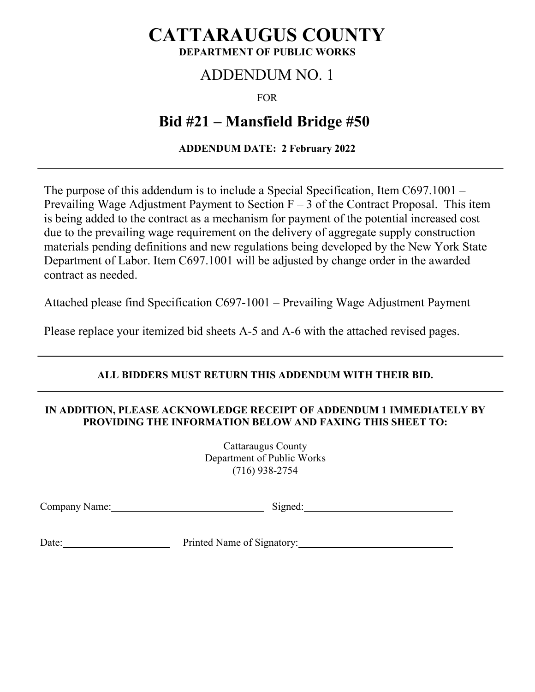## **CATTARAUGUS COUNTY DEPARTMENT OF PUBLIC WORKS**

# ADDENDUM NO. 1

FOR

# **Bid #21 – Mansfield Bridge #50**

## **ADDENDUM DATE: 2 February 2022**

The purpose of this addendum is to include a Special Specification, Item C697.1001 – Prevailing Wage Adjustment Payment to Section  $F - 3$  of the Contract Proposal. This item is being added to the contract as a mechanism for payment of the potential increased cost due to the prevailing wage requirement on the delivery of aggregate supply construction materials pending definitions and new regulations being developed by the New York State Department of Labor. Item C697.1001 will be adjusted by change order in the awarded contract as needed.

Attached please find Specification C697-1001 – Prevailing Wage Adjustment Payment

Please replace your itemized bid sheets A-5 and A-6 with the attached revised pages.

## **ALL BIDDERS MUST RETURN THIS ADDENDUM WITH THEIR BID.**

#### **IN ADDITION, PLEASE ACKNOWLEDGE RECEIPT OF ADDENDUM 1 IMMEDIATELY BY PROVIDING THE INFORMATION BELOW AND FAXING THIS SHEET TO:**

Cattaraugus County Department of Public Works (716) 938-2754

Company Name: Signed: Signed: Signed: Signed: Signed: Signed: Signed: Signed: Signed: Signed: Signed: Signed: Signed: Signed: Signed: Signed: Signed: Signed: Signed: Signed: Signed: Signed: Signed: Signed: Signed: Signed:

Date: Printed Name of Signatory: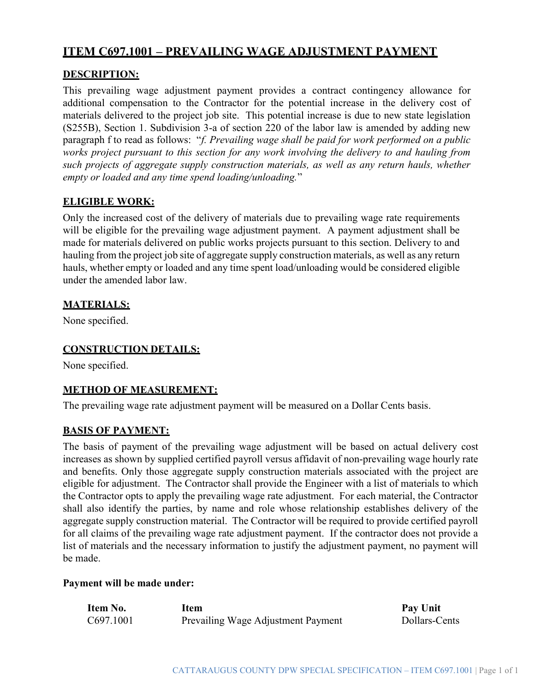## ITEM C697.1001 – PREVAILING WAGE ADJUSTMENT PAYMENT

#### DESCRIPTION:

This prevailing wage adjustment payment provides a contract contingency allowance for additional compensation to the Contractor for the potential increase in the delivery cost of materials delivered to the project job site. This potential increase is due to new state legislation (S255B), Section 1. Subdivision 3-a of section 220 of the labor law is amended by adding new paragraph f to read as follows: "f. Prevailing wage shall be paid for work performed on a public works project pursuant to this section for any work involving the delivery to and hauling from such projects of aggregate supply construction materials, as well as any return hauls, whether empty or loaded and any time spend loading/unloading."

#### ELIGIBLE WORK:

Only the increased cost of the delivery of materials due to prevailing wage rate requirements will be eligible for the prevailing wage adjustment payment. A payment adjustment shall be made for materials delivered on public works projects pursuant to this section. Delivery to and hauling from the project job site of aggregate supply construction materials, as well as any return hauls, whether empty or loaded and any time spent load/unloading would be considered eligible under the amended labor law.

#### MATERIALS:

None specified.

#### CONSTRUCTION DETAILS:

None specified.

#### METHOD OF MEASUREMENT:

The prevailing wage rate adjustment payment will be measured on a Dollar Cents basis.

#### BASIS OF PAYMENT:

The basis of payment of the prevailing wage adjustment will be based on actual delivery cost increases as shown by supplied certified payroll versus affidavit of non-prevailing wage hourly rate and benefits. Only those aggregate supply construction materials associated with the project are eligible for adjustment. The Contractor shall provide the Engineer with a list of materials to which the Contractor opts to apply the prevailing wage rate adjustment. For each material, the Contractor shall also identify the parties, by name and role whose relationship establishes delivery of the aggregate supply construction material. The Contractor will be required to provide certified payroll for all claims of the prevailing wage rate adjustment payment. If the contractor does not provide a list of materials and the necessary information to justify the adjustment payment, no payment will be made.

#### Payment will be made under:

| Item No.  | Item                               | Pay Unit      |
|-----------|------------------------------------|---------------|
| C697.1001 | Prevailing Wage Adjustment Payment | Dollars-Cents |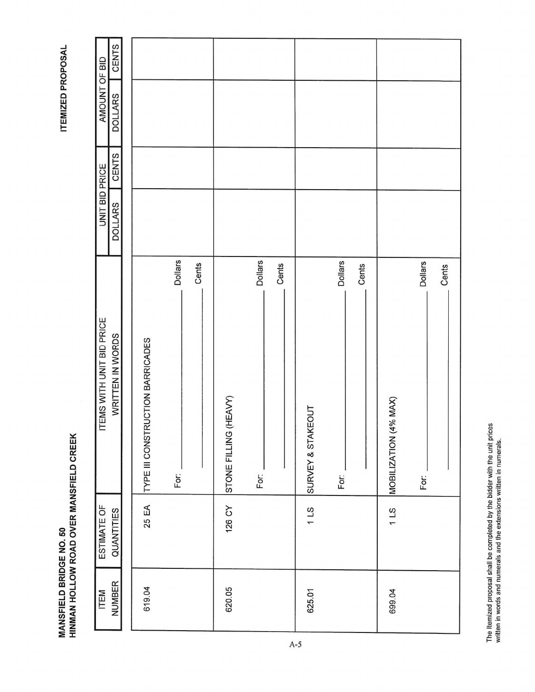| <b>NUMBER</b><br>ITEM | ESTIMATE OF<br>QUANTITIES | ITEMS WITH UNIT BID PRICE<br>WRITTEN IN WORDS       | UNIT BID PRICE<br><b>DOLLARS</b> | <b>CENTS</b> | AMOUNT OF BID<br><b>DOLLARS</b> | CENTS |
|-----------------------|---------------------------|-----------------------------------------------------|----------------------------------|--------------|---------------------------------|-------|
|                       |                           |                                                     |                                  |              |                                 |       |
| 619.04                | 25 EA                     | <b>TRUCTION BARRICADES</b><br><b>TYPE III CONST</b> |                                  |              |                                 |       |
|                       |                           | <b>Dollars</b><br>For:                              |                                  |              |                                 |       |
|                       |                           | Cents                                               |                                  |              |                                 |       |
| 620.05                | 126 CY                    | STONE FILLING (HEAVY)                               |                                  |              |                                 |       |
|                       |                           | <b>Dollars</b><br>For:                              |                                  |              |                                 |       |
|                       |                           | Cents                                               |                                  |              |                                 |       |
| 625.01                | 11S                       | SURVEY & STAKEOUT                                   |                                  |              |                                 |       |
|                       |                           | <b>Dollars</b><br>For:                              |                                  |              |                                 |       |
|                       |                           | Cents                                               |                                  |              |                                 |       |
| 699.04                | 211                       | $(4%$ MAX)<br>MOBILIZATION                          |                                  |              |                                 |       |
|                       |                           | <b>Dollars</b><br>For:                              |                                  |              |                                 |       |
|                       |                           | Cents                                               |                                  |              |                                 |       |

**ITEMIZED PROPOSAL** 

**MANSFIELD BRIDGE NO. 50<br>HINMAN HOLLOW ROAD OVER MANSFIELD CREEK** 

The Itemized proposal shall be completed by the bidder with the unit prices written in words and numerals and the extensions written in numerals.